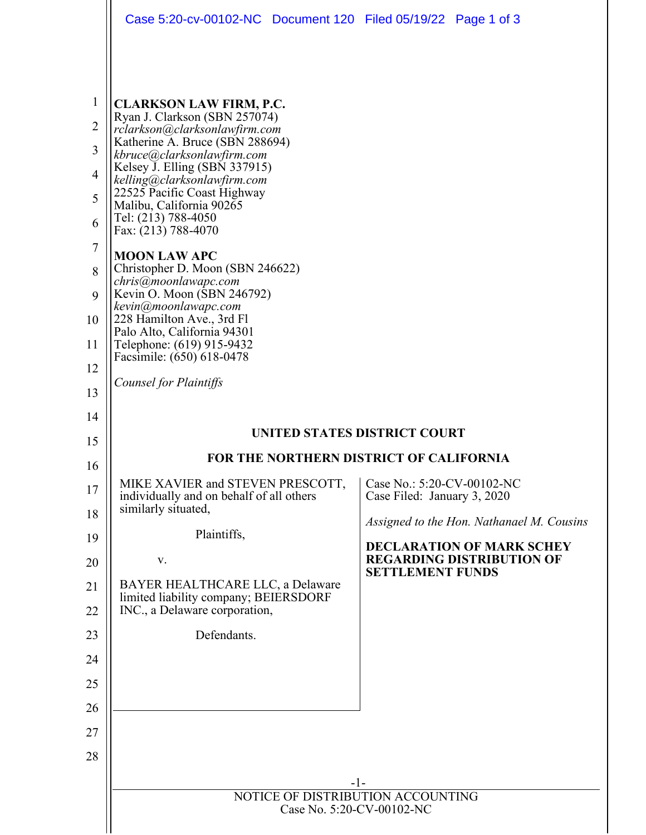|                                                                                                                               | Case 5:20-cv-00102-NC Document 120 Filed 05/19/22 Page 1 of 3                                                                                                                                                                                                                                                                                                                                                                                                                                                                                                                                                                                                                                                                                                                                                                                                                        |                                                                                                                                                                                                                                                                                             |
|-------------------------------------------------------------------------------------------------------------------------------|--------------------------------------------------------------------------------------------------------------------------------------------------------------------------------------------------------------------------------------------------------------------------------------------------------------------------------------------------------------------------------------------------------------------------------------------------------------------------------------------------------------------------------------------------------------------------------------------------------------------------------------------------------------------------------------------------------------------------------------------------------------------------------------------------------------------------------------------------------------------------------------|---------------------------------------------------------------------------------------------------------------------------------------------------------------------------------------------------------------------------------------------------------------------------------------------|
|                                                                                                                               |                                                                                                                                                                                                                                                                                                                                                                                                                                                                                                                                                                                                                                                                                                                                                                                                                                                                                      |                                                                                                                                                                                                                                                                                             |
| 1<br>2<br>3<br>4<br>5<br>6<br>7<br>8<br>9<br>10<br>11<br>12<br>13<br>14<br>15<br>16<br>17<br>18<br>19<br>20<br>21<br>22<br>23 | <b>CLARKSON LAW FIRM, P.C.</b><br>Ryan J. Clarkson (SBN 257074)<br>rclarkson@clarksonlawfirm.com<br>Katherine A. Bruce (SBN 288694)<br>kbruce@clarksonlawfirm.com<br>Kelsey J. Elling (SBN 337915)<br>kelling@clarksonlawfirm.com<br>22525 Pacific Coast Highway<br>Malibu, California 90265<br>Tel: (213) 788-4050<br>Fax: (213) 788-4070<br><b>MOON LAW APC</b><br>Christopher D. Moon (SBN 246622)<br>chris@moonlawapc.com<br>Kevin O. Moon (SBN 246792)<br>kevin@moonlawapc.com<br>228 Hamilton Ave., 3rd Fl<br>Palo Alto, California 94301<br>Telephone: (619) 915-9432<br>Facsimile: (650) 618-0478<br><b>Counsel for Plaintiffs</b><br>MIKE XAVIER and STEVEN PRESCOTT,<br>individually and on behalf of all others<br>similarly situated,<br>Plaintiffs,<br>V.<br>BAYER HEALTHCARE LLC, a Delaware<br>limited liability company; BEIERSDORF<br>INC., a Delaware corporation, | UNITED STATES DISTRICT COURT<br><b>FOR THE NORTHERN DISTRICT OF CALIFORNIA</b><br>Case No.: 5:20-CV-00102-NC<br>Case Filed: January 3, 2020<br>Assigned to the Hon. Nathanael M. Cousins<br><b>DECLARATION OF MARK SCHEY</b><br><b>REGARDING DISTRIBUTION OF</b><br><b>SETTLEMENT FUNDS</b> |
| 24                                                                                                                            | Defendants.                                                                                                                                                                                                                                                                                                                                                                                                                                                                                                                                                                                                                                                                                                                                                                                                                                                                          |                                                                                                                                                                                                                                                                                             |
| 25                                                                                                                            |                                                                                                                                                                                                                                                                                                                                                                                                                                                                                                                                                                                                                                                                                                                                                                                                                                                                                      |                                                                                                                                                                                                                                                                                             |
| 26                                                                                                                            |                                                                                                                                                                                                                                                                                                                                                                                                                                                                                                                                                                                                                                                                                                                                                                                                                                                                                      |                                                                                                                                                                                                                                                                                             |
| 27                                                                                                                            |                                                                                                                                                                                                                                                                                                                                                                                                                                                                                                                                                                                                                                                                                                                                                                                                                                                                                      |                                                                                                                                                                                                                                                                                             |
| 28                                                                                                                            |                                                                                                                                                                                                                                                                                                                                                                                                                                                                                                                                                                                                                                                                                                                                                                                                                                                                                      |                                                                                                                                                                                                                                                                                             |
|                                                                                                                               |                                                                                                                                                                                                                                                                                                                                                                                                                                                                                                                                                                                                                                                                                                                                                                                                                                                                                      | $-1-$                                                                                                                                                                                                                                                                                       |
|                                                                                                                               | NOTICE OF DISTRIBUTION ACCOUNTING<br>Case No. 5:20-CV-00102-NC                                                                                                                                                                                                                                                                                                                                                                                                                                                                                                                                                                                                                                                                                                                                                                                                                       |                                                                                                                                                                                                                                                                                             |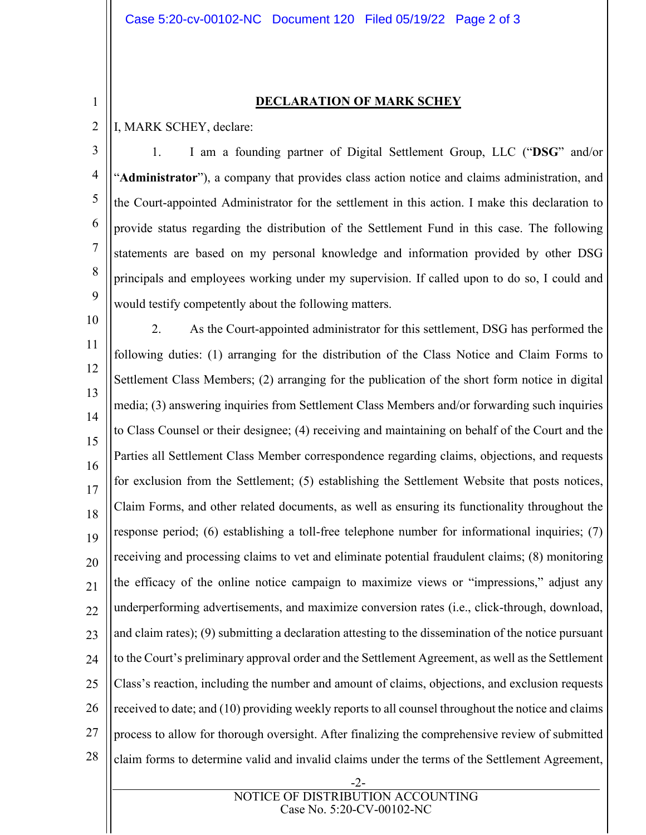**DECLARATION OF MARK SCHEY**

2 I, MARK SCHEY, declare:

1

3 4 5 6 7 8 9 1. I am a founding partner of Digital Settlement Group, LLC ("**DSG**" and/or "**Administrator**"), a company that provides class action notice and claims administration, and the Court-appointed Administrator for the settlement in this action. I make this declaration to provide status regarding the distribution of the Settlement Fund in this case. The following statements are based on my personal knowledge and information provided by other DSG principals and employees working under my supervision. If called upon to do so, I could and would testify competently about the following matters.

10 11 12 13 14 15 16 17 18 19 20 21 22 23 24 25 26 27 28 2. As the Court-appointed administrator for this settlement, DSG has performed the following duties: (1) arranging for the distribution of the Class Notice and Claim Forms to Settlement Class Members; (2) arranging for the publication of the short form notice in digital media; (3) answering inquiries from Settlement Class Members and/or forwarding such inquiries to Class Counsel or their designee; (4) receiving and maintaining on behalf of the Court and the Parties all Settlement Class Member correspondence regarding claims, objections, and requests for exclusion from the Settlement; (5) establishing the Settlement Website that posts notices, Claim Forms, and other related documents, as well as ensuring its functionality throughout the response period; (6) establishing a toll-free telephone number for informational inquiries; (7) receiving and processing claims to vet and eliminate potential fraudulent claims; (8) monitoring the efficacy of the online notice campaign to maximize views or "impressions," adjust any underperforming advertisements, and maximize conversion rates (i.e., click-through, download, and claim rates); (9) submitting a declaration attesting to the dissemination of the notice pursuant to the Court's preliminary approval order and the Settlement Agreement, as well as the Settlement Class's reaction, including the number and amount of claims, objections, and exclusion requests received to date; and (10) providing weekly reports to all counsel throughout the notice and claims process to allow for thorough oversight. After finalizing the comprehensive review of submitted claim forms to determine valid and invalid claims under the terms of the Settlement Agreement,